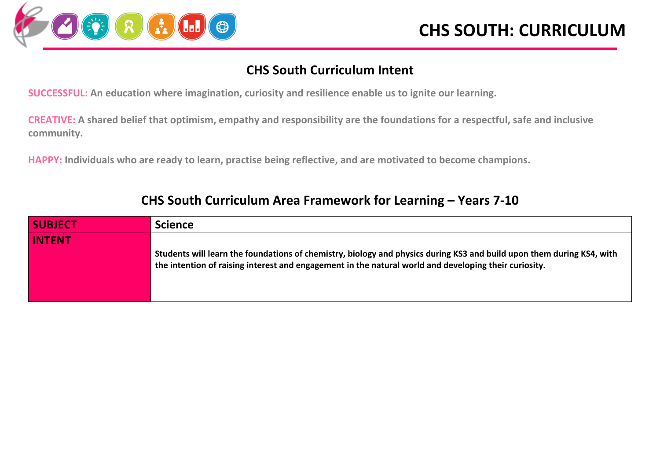

#### **CHS South Curriculum Intent**

**SUCCESSFUL: An education where imagination, curiosity and resilience enable us to ignite our learning.**

**CREATIVE: A shared belief that optimism, empathy and responsibility are the foundations for a respectful, safe and inclusive community.**

**HAPPY: Individuals who are ready to learn, practise being reflective, and are motivated to become champions.**

| <b>SUBJECT</b> | <b>Science</b>                                                                                                                                                                                                                 |
|----------------|--------------------------------------------------------------------------------------------------------------------------------------------------------------------------------------------------------------------------------|
| <b>INTENT</b>  |                                                                                                                                                                                                                                |
|                | Students will learn the foundations of chemistry, biology and physics during KS3 and build upon them during KS4, with<br>the intention of raising interest and engagement in the natural world and developing their curiosity. |

#### **CHS South Curriculum Area Framework for Learning – Years 7-10**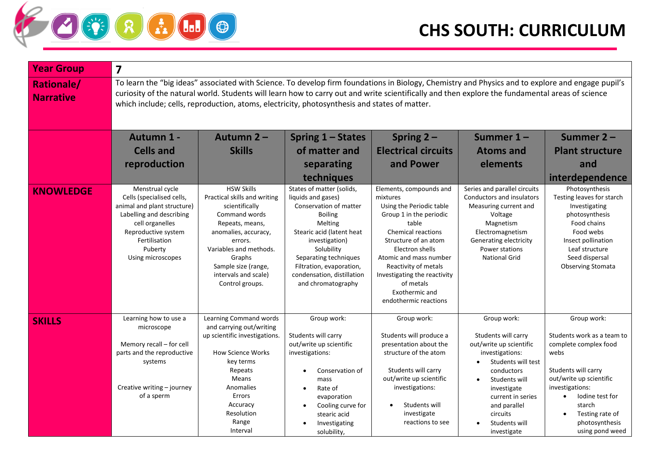

| <b>Year Group</b>                     | $\overline{\mathbf{z}}$                                                                                                                                                                                                                                                                                                                                                                              |                                                                                                                                                                                                                                                  |                                                                                                                                                                                                                                                                              |                                                                                                                                                                                                                                                                                                                       |                                                                                                                                                                                                    |                                                                                                                                                                                                  |  |
|---------------------------------------|------------------------------------------------------------------------------------------------------------------------------------------------------------------------------------------------------------------------------------------------------------------------------------------------------------------------------------------------------------------------------------------------------|--------------------------------------------------------------------------------------------------------------------------------------------------------------------------------------------------------------------------------------------------|------------------------------------------------------------------------------------------------------------------------------------------------------------------------------------------------------------------------------------------------------------------------------|-----------------------------------------------------------------------------------------------------------------------------------------------------------------------------------------------------------------------------------------------------------------------------------------------------------------------|----------------------------------------------------------------------------------------------------------------------------------------------------------------------------------------------------|--------------------------------------------------------------------------------------------------------------------------------------------------------------------------------------------------|--|
| <b>Rationale/</b><br><b>Narrative</b> | To learn the "big ideas" associated with Science. To develop firm foundations in Biology, Chemistry and Physics and to explore and engage pupil's<br>curiosity of the natural world. Students will learn how to carry out and write scientifically and then explore the fundamental areas of science<br>which include; cells, reproduction, atoms, electricity, photosynthesis and states of matter. |                                                                                                                                                                                                                                                  |                                                                                                                                                                                                                                                                              |                                                                                                                                                                                                                                                                                                                       |                                                                                                                                                                                                    |                                                                                                                                                                                                  |  |
|                                       | Autumn 1 -                                                                                                                                                                                                                                                                                                                                                                                           | Autumn 2-                                                                                                                                                                                                                                        | Spring 1 – States                                                                                                                                                                                                                                                            | Spring $2 -$                                                                                                                                                                                                                                                                                                          | Summer $1 -$                                                                                                                                                                                       | Summer 2-                                                                                                                                                                                        |  |
|                                       | <b>Cells and</b>                                                                                                                                                                                                                                                                                                                                                                                     | <b>Skills</b>                                                                                                                                                                                                                                    | of matter and                                                                                                                                                                                                                                                                | <b>Electrical circuits</b>                                                                                                                                                                                                                                                                                            | <b>Atoms and</b>                                                                                                                                                                                   | <b>Plant structure</b>                                                                                                                                                                           |  |
|                                       | reproduction                                                                                                                                                                                                                                                                                                                                                                                         |                                                                                                                                                                                                                                                  | separating                                                                                                                                                                                                                                                                   | and Power                                                                                                                                                                                                                                                                                                             | elements                                                                                                                                                                                           | and                                                                                                                                                                                              |  |
|                                       |                                                                                                                                                                                                                                                                                                                                                                                                      |                                                                                                                                                                                                                                                  | techniques                                                                                                                                                                                                                                                                   |                                                                                                                                                                                                                                                                                                                       |                                                                                                                                                                                                    | interdependence                                                                                                                                                                                  |  |
| <b>KNOWLEDGE</b>                      | Menstrual cycle<br>Cells (specialised cells,<br>animal and plant structure)<br>Labelling and describing<br>cell organelles<br>Reproductive system<br>Fertilisation<br>Puberty<br>Using microscopes                                                                                                                                                                                                   | <b>HSW Skills</b><br>Practical skills and writing<br>scientifically<br>Command words<br>Repeats, means,<br>anomalies, accuracy,<br>errors.<br>Variables and methods.<br>Graphs<br>Sample size (range,<br>intervals and scale)<br>Control groups. | States of matter (solids,<br>liquids and gases)<br>Conservation of matter<br><b>Boiling</b><br>Melting<br>Stearic acid (latent heat<br>investigation)<br>Solubility<br>Separating techniques<br>Filtration, evaporation,<br>condensation, distillation<br>and chromatography | Elements, compounds and<br>mixtures<br>Using the Periodic table<br>Group 1 in the periodic<br>table<br><b>Chemical reactions</b><br>Structure of an atom<br>Electron shells<br>Atomic and mass number<br>Reactivity of metals<br>Investigating the reactivity<br>of metals<br>Exothermic and<br>endothermic reactions | Series and parallel circuits<br>Conductors and insulators<br>Measuring current and<br>Voltage<br>Magnetism<br>Electromagnetism<br>Generating electricity<br>Power stations<br><b>National Grid</b> | Photosynthesis<br>Testing leaves for starch<br>Investigating<br>photosynthesis<br>Food chains<br>Food webs<br>Insect pollination<br>Leaf structure<br>Seed dispersal<br><b>Observing Stomata</b> |  |
| <b>SKILLS</b>                         | Learning how to use a<br>microscope<br>Memory recall - for cell<br>parts and the reproductive<br>systems                                                                                                                                                                                                                                                                                             | Learning Command words<br>and carrying out/writing<br>up scientific investigations.<br><b>How Science Works</b><br>key terms<br>Repeats                                                                                                          | Group work:<br>Students will carry<br>out/write up scientific<br>investigations:<br>Conservation of                                                                                                                                                                          | Group work:<br>Students will produce a<br>presentation about the<br>structure of the atom<br>Students will carry                                                                                                                                                                                                      | Group work:<br>Students will carry<br>out/write up scientific<br>investigations:<br>Students will test<br>conductors                                                                               | Group work:<br>Students work as a team to<br>complete complex food<br>webs<br>Students will carry                                                                                                |  |
|                                       | Creative writing - journey<br>of a sperm                                                                                                                                                                                                                                                                                                                                                             | Means<br>Anomalies<br>Errors<br>Accuracy<br>Resolution<br>Range<br>Interval                                                                                                                                                                      | mass<br>Rate of<br>$\bullet$<br>evaporation<br>Cooling curve for<br>$\bullet$<br>stearic acid<br>Investigating<br>solubility,                                                                                                                                                | out/write up scientific<br>investigations:<br>Students will<br>investigate<br>reactions to see                                                                                                                                                                                                                        | Students will<br>investigate<br>current in series<br>and parallel<br>circuits<br>Students will<br>investigate                                                                                      | out/write up scientific<br>investigations:<br>lodine test for<br>$\bullet$<br>starch<br>Testing rate of<br>photosynthesis<br>using pond weed                                                     |  |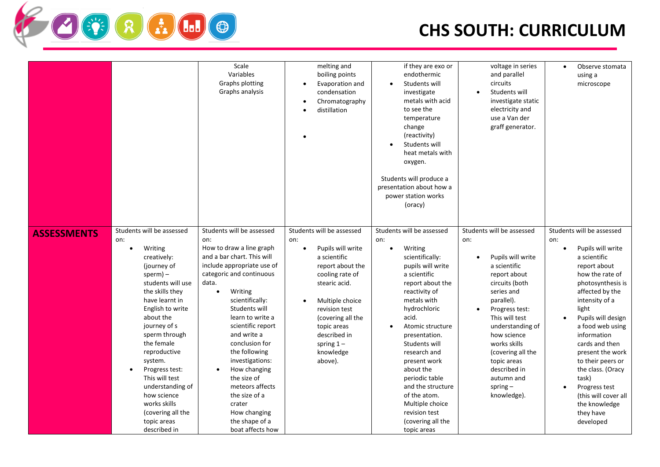|                    |                                                                                                                                                                                                                                                                                                                                                                                                       | Scale<br>Variables<br>Graphs plotting<br>Graphs analysis                                                                                                                                                                                                                                                                                                                                                                                               | melting and<br>boiling points<br>Evaporation and<br>condensation<br>Chromatography<br>distillation                                                                                                                                                                         | if they are exo or<br>endothermic<br>Students will<br>investigate<br>metals with acid<br>to see the<br>temperature<br>change<br>(reactivity)<br>Students will<br>heat metals with<br>oxygen.<br>Students will produce a<br>presentation about how a<br>power station works<br>(oracy)                                                                                                                            | voltage in series<br>and parallel<br>circuits<br>Students will<br>investigate static<br>electricity and<br>use a Van der<br>graff generator.                                                                                                                                                                              | Observe stomata<br>$\bullet$<br>using a<br>microscope                                                                                                                                                                                                                                                                                                                                                                                                    |
|--------------------|-------------------------------------------------------------------------------------------------------------------------------------------------------------------------------------------------------------------------------------------------------------------------------------------------------------------------------------------------------------------------------------------------------|--------------------------------------------------------------------------------------------------------------------------------------------------------------------------------------------------------------------------------------------------------------------------------------------------------------------------------------------------------------------------------------------------------------------------------------------------------|----------------------------------------------------------------------------------------------------------------------------------------------------------------------------------------------------------------------------------------------------------------------------|------------------------------------------------------------------------------------------------------------------------------------------------------------------------------------------------------------------------------------------------------------------------------------------------------------------------------------------------------------------------------------------------------------------|---------------------------------------------------------------------------------------------------------------------------------------------------------------------------------------------------------------------------------------------------------------------------------------------------------------------------|----------------------------------------------------------------------------------------------------------------------------------------------------------------------------------------------------------------------------------------------------------------------------------------------------------------------------------------------------------------------------------------------------------------------------------------------------------|
| <b>ASSESSMENTS</b> | Students will be assessed<br>on:<br>Writing<br>$\bullet$<br>creatively:<br>(journey of<br>$sperm$ ) –<br>students will use<br>the skills they<br>have learnt in<br>English to write<br>about the<br>journey of s<br>sperm through<br>the female<br>reproductive<br>system.<br>Progress test:<br>This will test<br>understanding of<br>how science<br>works skills<br>(covering all the<br>topic areas | Students will be assessed<br>on:<br>How to draw a line graph<br>and a bar chart. This will<br>include appropriate use of<br>categoric and continuous<br>data.<br>Writing<br>$\bullet$<br>scientifically:<br>Students will<br>learn to write a<br>scientific report<br>and write a<br>conclusion for<br>the following<br>investigations:<br>How changing<br>the size of<br>meteors affects<br>the size of a<br>crater<br>How changing<br>the shape of a | Students will be assessed<br>on:<br>Pupils will write<br>$\bullet$<br>a scientific<br>report about the<br>cooling rate of<br>stearic acid.<br>Multiple choice<br>revision test<br>(covering all the<br>topic areas<br>described in<br>spring $1 -$<br>knowledge<br>above). | Students will be assessed<br>on:<br>Writing<br>$\bullet$<br>scientifically:<br>pupils will write<br>a scientific<br>report about the<br>reactivity of<br>metals with<br>hydrochloric<br>acid.<br>Atomic structure<br>presentation.<br>Students will<br>research and<br>present work<br>about the<br>periodic table<br>and the structure<br>of the atom.<br>Multiple choice<br>revision test<br>(covering all the | Students will be assessed<br>on:<br>Pupils will write<br>a scientific<br>report about<br>circuits (both<br>series and<br>parallel).<br>Progress test:<br>This will test<br>understanding of<br>how science<br>works skills<br>(covering all the<br>topic areas<br>described in<br>autumn and<br>spring $-$<br>knowledge). | Students will be assessed<br>on:<br>Pupils will write<br>$\bullet$<br>a scientific<br>report about<br>how the rate of<br>photosynthesis is<br>affected by the<br>intensity of a<br>light<br>Pupils will design<br>$\bullet$<br>a food web using<br>information<br>cards and then<br>present the work<br>to their peers or<br>the class. (Oracy<br>task)<br>Progress test<br>$\bullet$<br>(this will cover all<br>the knowledge<br>they have<br>developed |

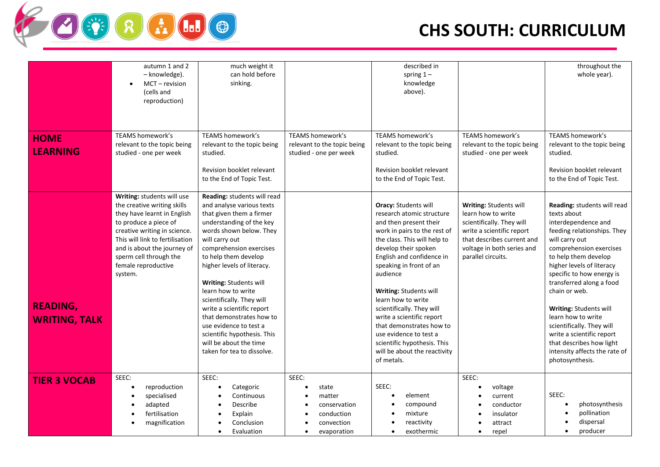

|                                         | autumn 1 and 2<br>– knowledge).<br>MCT - revision<br>$\bullet$<br>(cells and<br>reproduction)                                                                                                                                                                                   | much weight it<br>can hold before<br>sinking.                                                                                                                                                                                                                                                                                                                                                                                                                                                                |                                                                                                  | described in<br>spring $1 -$<br>knowledge<br>above).                                                                                                                                                                                                                                                                                                                                                                                                                                        |                                                                                                                                                                                          | throughout the<br>whole year).                                                                                                                                                                                                                                                                                                                                                                                                                                         |
|-----------------------------------------|---------------------------------------------------------------------------------------------------------------------------------------------------------------------------------------------------------------------------------------------------------------------------------|--------------------------------------------------------------------------------------------------------------------------------------------------------------------------------------------------------------------------------------------------------------------------------------------------------------------------------------------------------------------------------------------------------------------------------------------------------------------------------------------------------------|--------------------------------------------------------------------------------------------------|---------------------------------------------------------------------------------------------------------------------------------------------------------------------------------------------------------------------------------------------------------------------------------------------------------------------------------------------------------------------------------------------------------------------------------------------------------------------------------------------|------------------------------------------------------------------------------------------------------------------------------------------------------------------------------------------|------------------------------------------------------------------------------------------------------------------------------------------------------------------------------------------------------------------------------------------------------------------------------------------------------------------------------------------------------------------------------------------------------------------------------------------------------------------------|
| <b>HOME</b><br><b>LEARNING</b>          | <b>TEAMS homework's</b><br>relevant to the topic being<br>studied - one per week                                                                                                                                                                                                | TEAMS homework's<br>relevant to the topic being<br>studied.<br>Revision booklet relevant<br>to the End of Topic Test.                                                                                                                                                                                                                                                                                                                                                                                        | TEAMS homework's<br>relevant to the topic being<br>studied - one per week                        | TEAMS homework's<br>relevant to the topic being<br>studied.<br>Revision booklet relevant<br>to the End of Topic Test.                                                                                                                                                                                                                                                                                                                                                                       | TEAMS homework's<br>relevant to the topic being<br>studied - one per week                                                                                                                | TEAMS homework's<br>relevant to the topic being<br>studied.<br>Revision booklet relevant<br>to the End of Topic Test.                                                                                                                                                                                                                                                                                                                                                  |
| <b>READING,</b><br><b>WRITING, TALK</b> | Writing: students will use<br>the creative writing skills<br>they have learnt in English<br>to produce a piece of<br>creative writing in science.<br>This will link to fertilisation<br>and is about the journey of<br>sperm cell through the<br>female reproductive<br>system. | Reading: students will read<br>and analyse various texts<br>that given them a firmer<br>understanding of the key<br>words shown below. They<br>will carry out<br>comprehension exercises<br>to help them develop<br>higher levels of literacy.<br><b>Writing: Students will</b><br>learn how to write<br>scientifically. They will<br>write a scientific report<br>that demonstrates how to<br>use evidence to test a<br>scientific hypothesis. This<br>will be about the time<br>taken for tea to dissolve. |                                                                                                  | <b>Oracy: Students will</b><br>research atomic structure<br>and then present their<br>work in pairs to the rest of<br>the class. This will help to<br>develop their spoken<br>English and confidence in<br>speaking in front of an<br>audience<br>Writing: Students will<br>learn how to write<br>scientifically. They will<br>write a scientific report<br>that demonstrates how to<br>use evidence to test a<br>scientific hypothesis. This<br>will be about the reactivity<br>of metals. | Writing: Students will<br>learn how to write<br>scientifically. They will<br>write a scientific report<br>that describes current and<br>voltage in both series and<br>parallel circuits. | Reading: students will read<br>texts about<br>interdependence and<br>feeding relationships. They<br>will carry out<br>comprehension exercises<br>to help them develop<br>higher levels of literacy<br>specific to how energy is<br>transferred along a food<br>chain or web.<br>Writing: Students will<br>learn how to write<br>scientifically. They will<br>write a scientific report<br>that describes how light<br>intensity affects the rate of<br>photosynthesis. |
| <b>TIER 3 VOCAB</b>                     | SEEC:<br>reproduction<br>specialised<br>adapted<br>fertilisation<br>magnification                                                                                                                                                                                               | SEEC:<br>Categoric<br>$\bullet$<br>Continuous<br>Describe<br>Explain<br>Conclusion<br>Evaluation                                                                                                                                                                                                                                                                                                                                                                                                             | SEEC:<br>state<br>$\bullet$<br>matter<br>conservation<br>conduction<br>convection<br>evaporation | SEEC:<br>element<br>$\bullet$<br>compound<br>mixture<br>reactivity<br>exothermic                                                                                                                                                                                                                                                                                                                                                                                                            | SEEC:<br>voltage<br>current<br>conductor<br>insulator<br>attract<br>repel<br>$\bullet$                                                                                                   | SEEC:<br>photosynthesis<br>pollination<br>dispersal<br>producer                                                                                                                                                                                                                                                                                                                                                                                                        |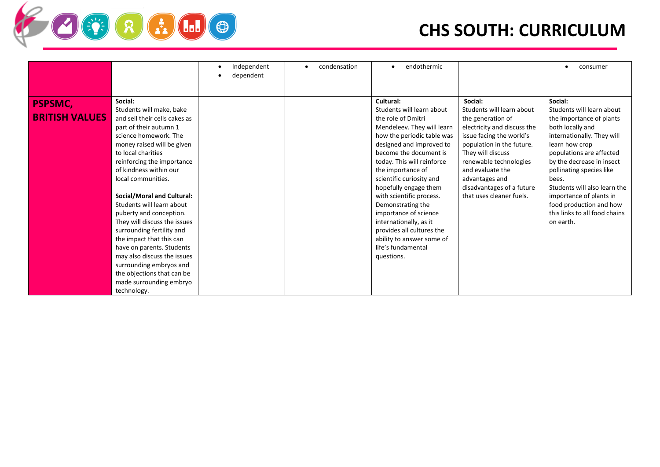|                       |                                                           | Independent<br>dependent | condensation | endothermic                                       |                                                       | consumer                                                |
|-----------------------|-----------------------------------------------------------|--------------------------|--------------|---------------------------------------------------|-------------------------------------------------------|---------------------------------------------------------|
|                       |                                                           |                          |              |                                                   |                                                       |                                                         |
| <b>PSPSMC,</b>        | Social:                                                   |                          |              | Cultural:                                         | Social:                                               | Social:                                                 |
| <b>BRITISH VALUES</b> | Students will make, bake<br>and sell their cells cakes as |                          |              | Students will learn about<br>the role of Dmitri   | Students will learn about                             | Students will learn about                               |
|                       | part of their autumn 1                                    |                          |              | Mendeleev. They will learn                        | the generation of<br>electricity and discuss the      | the importance of plants<br>both locally and            |
|                       | science homework. The                                     |                          |              | how the periodic table was                        | issue facing the world's                              | internationally. They will                              |
|                       | money raised will be given                                |                          |              | designed and improved to                          | population in the future.                             | learn how crop                                          |
|                       | to local charities                                        |                          |              | become the document is                            | They will discuss                                     | populations are affected                                |
|                       | reinforcing the importance                                |                          |              | today. This will reinforce                        | renewable technologies                                | by the decrease in insect                               |
|                       | of kindness within our                                    |                          |              | the importance of                                 | and evaluate the                                      | pollinating species like                                |
|                       | local communities.                                        |                          |              | scientific curiosity and                          | advantages and                                        | bees.                                                   |
|                       | Social/Moral and Cultural:                                |                          |              | hopefully engage them<br>with scientific process. | disadvantages of a future<br>that uses cleaner fuels. | Students will also learn the<br>importance of plants in |
|                       | Students will learn about                                 |                          |              | Demonstrating the                                 |                                                       | food production and how                                 |
|                       | puberty and conception.                                   |                          |              | importance of science                             |                                                       | this links to all food chains                           |
|                       | They will discuss the issues                              |                          |              | internationally, as it                            |                                                       | on earth.                                               |
|                       | surrounding fertility and                                 |                          |              | provides all cultures the                         |                                                       |                                                         |
|                       | the impact that this can                                  |                          |              | ability to answer some of                         |                                                       |                                                         |
|                       | have on parents. Students                                 |                          |              | life's fundamental                                |                                                       |                                                         |
|                       | may also discuss the issues                               |                          |              | questions.                                        |                                                       |                                                         |
|                       | surrounding embryos and                                   |                          |              |                                                   |                                                       |                                                         |
|                       | the objections that can be                                |                          |              |                                                   |                                                       |                                                         |
|                       | made surrounding embryo                                   |                          |              |                                                   |                                                       |                                                         |
|                       | technology.                                               |                          |              |                                                   |                                                       |                                                         |

**FRADO**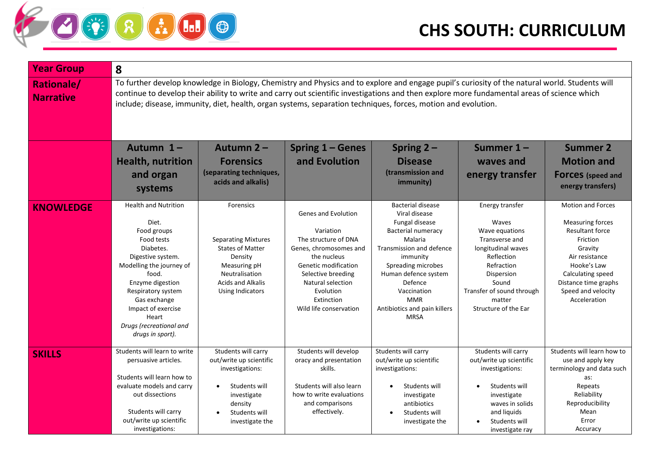

| <b>Year Group</b>                     | 8                                                                                                                                                                                                                                                                                                                                                                                                              |                                                                                                                                                                        |                                                                                                                                                                                                                           |                                                                                                                                                                                                                                                                           |                                                                                                                                                                                                      |                                                                                                                                                                                                                          |  |  |
|---------------------------------------|----------------------------------------------------------------------------------------------------------------------------------------------------------------------------------------------------------------------------------------------------------------------------------------------------------------------------------------------------------------------------------------------------------------|------------------------------------------------------------------------------------------------------------------------------------------------------------------------|---------------------------------------------------------------------------------------------------------------------------------------------------------------------------------------------------------------------------|---------------------------------------------------------------------------------------------------------------------------------------------------------------------------------------------------------------------------------------------------------------------------|------------------------------------------------------------------------------------------------------------------------------------------------------------------------------------------------------|--------------------------------------------------------------------------------------------------------------------------------------------------------------------------------------------------------------------------|--|--|
| <b>Rationale/</b><br><b>Narrative</b> | To further develop knowledge in Biology, Chemistry and Physics and to explore and engage pupil's curiosity of the natural world. Students will<br>continue to develop their ability to write and carry out scientific investigations and then explore more fundamental areas of science which<br>include; disease, immunity, diet, health, organ systems, separation techniques, forces, motion and evolution. |                                                                                                                                                                        |                                                                                                                                                                                                                           |                                                                                                                                                                                                                                                                           |                                                                                                                                                                                                      |                                                                                                                                                                                                                          |  |  |
|                                       | Autumn 1-                                                                                                                                                                                                                                                                                                                                                                                                      | Autumn 2-                                                                                                                                                              | Spring 1 – Genes                                                                                                                                                                                                          | Spring $2 -$                                                                                                                                                                                                                                                              | Summer 1-                                                                                                                                                                                            | <b>Summer 2</b>                                                                                                                                                                                                          |  |  |
|                                       | <b>Health, nutrition</b>                                                                                                                                                                                                                                                                                                                                                                                       | <b>Forensics</b>                                                                                                                                                       | and Evolution                                                                                                                                                                                                             | <b>Disease</b>                                                                                                                                                                                                                                                            | waves and                                                                                                                                                                                            | <b>Motion and</b>                                                                                                                                                                                                        |  |  |
|                                       | and organ<br>systems                                                                                                                                                                                                                                                                                                                                                                                           | (separating techniques,<br>acids and alkalis)                                                                                                                          |                                                                                                                                                                                                                           | (transmission and<br>immunity)                                                                                                                                                                                                                                            | energy transfer                                                                                                                                                                                      | <b>FOrces</b> (speed and<br>energy transfers)                                                                                                                                                                            |  |  |
| <b>KNOWLEDGE</b>                      | <b>Health and Nutrition</b><br>Diet.<br>Food groups<br>Food tests<br>Diabetes.<br>Digestive system.<br>Modelling the journey of<br>food.<br>Enzyme digestion<br>Respiratory system<br>Gas exchange<br>Impact of exercise<br>Heart<br>Drugs (recreational and<br>drugs in sport).                                                                                                                               | Forensics<br><b>Separating Mixtures</b><br><b>States of Matter</b><br>Density<br>Measuring pH<br>Neutralisation<br><b>Acids and Alkalis</b><br><b>Using Indicators</b> | Genes and Evolution<br>Variation<br>The structure of DNA<br>Genes, chromosomes and<br>the nucleus<br>Genetic modification<br>Selective breeding<br>Natural selection<br>Evolution<br>Extinction<br>Wild life conservation | <b>Bacterial disease</b><br>Viral disease<br>Fungal disease<br>Bacterial numeracy<br>Malaria<br>Transmission and defence<br>immunity<br>Spreading microbes<br>Human defence system<br>Defence<br>Vaccination<br><b>MMR</b><br>Antibiotics and pain killers<br><b>MRSA</b> | Energy transfer<br>Waves<br>Wave equations<br>Transverse and<br>longitudinal waves<br>Reflection<br>Refraction<br>Dispersion<br>Sound<br>Transfer of sound through<br>matter<br>Structure of the Ear | <b>Motion and Forces</b><br><b>Measuring forces</b><br><b>Resultant force</b><br>Friction<br>Gravity<br>Air resistance<br>Hooke's Law<br>Calculating speed<br>Distance time graphs<br>Speed and velocity<br>Acceleration |  |  |
| <b>SKILLS</b>                         | Students will learn to write<br>persuasive articles.<br>Students will learn how to<br>evaluate models and carry<br>out dissections<br>Students will carry<br>out/write up scientific<br>investigations:                                                                                                                                                                                                        | Students will carry<br>out/write up scientific<br>investigations:<br>Students will<br>investigate<br>density<br>Students will<br>investigate the                       | Students will develop<br>oracy and presentation<br>skills.<br>Students will also learn<br>how to write evaluations<br>and comparisons<br>effectively.                                                                     | Students will carry<br>out/write up scientific<br>investigations:<br>Students will<br>investigate<br>antibiotics<br>Students will<br>investigate the                                                                                                                      | Students will carry<br>out/write up scientific<br>investigations:<br>Students will<br>investigate<br>waves in solids<br>and liquids<br>Students will<br>investigate ray                              | Students will learn how to<br>use and apply key<br>terminology and data such<br>as:<br>Repeats<br>Reliability<br>Reproducibility<br>Mean<br>Error<br>Accuracy                                                            |  |  |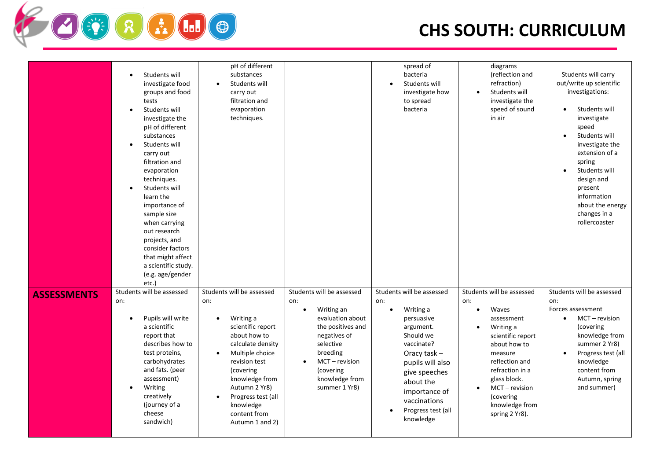

|                    | Students will<br>$\bullet$<br>investigate food<br>groups and food<br>tests<br>Students will<br>$\bullet$<br>investigate the<br>pH of different<br>substances<br>Students will<br>$\bullet$<br>carry out<br>filtration and<br>evaporation<br>techniques.<br>Students will<br>$\bullet$<br>learn the<br>importance of<br>sample size<br>when carrying<br>out research<br>projects, and<br>consider factors<br>that might affect<br>a scientific study.<br>(e.g. age/gender<br>etc.) | pH of different<br>substances<br>Students will<br>carry out<br>filtration and<br>evaporation<br>techniques.                                                                                                                                                       |                                                                                                                                                                                                                                | spread of<br>bacteria<br>Students will<br>$\bullet$<br>investigate how<br>to spread<br>bacteria                                                                                                                                                          | diagrams<br>(reflection and<br>refraction)<br>Students will<br>investigate the<br>speed of sound<br>in air                                                                                                                                                | Students will carry<br>out/write up scientific<br>investigations:<br>Students will<br>$\bullet$<br>investigate<br>speed<br>Students will<br>$\bullet$<br>investigate the<br>extension of a<br>spring<br>Students will<br>$\bullet$<br>design and<br>present<br>information<br>about the energy<br>changes in a<br>rollercoaster |
|--------------------|-----------------------------------------------------------------------------------------------------------------------------------------------------------------------------------------------------------------------------------------------------------------------------------------------------------------------------------------------------------------------------------------------------------------------------------------------------------------------------------|-------------------------------------------------------------------------------------------------------------------------------------------------------------------------------------------------------------------------------------------------------------------|--------------------------------------------------------------------------------------------------------------------------------------------------------------------------------------------------------------------------------|----------------------------------------------------------------------------------------------------------------------------------------------------------------------------------------------------------------------------------------------------------|-----------------------------------------------------------------------------------------------------------------------------------------------------------------------------------------------------------------------------------------------------------|---------------------------------------------------------------------------------------------------------------------------------------------------------------------------------------------------------------------------------------------------------------------------------------------------------------------------------|
| <b>ASSESSMENTS</b> | Students will be assessed<br>on:<br>Pupils will write<br>$\bullet$<br>a scientific<br>report that<br>describes how to<br>test proteins,<br>carbohydrates<br>and fats. (peer<br>assessment)<br>Writing<br>$\bullet$<br>creatively<br>(journey of a<br>cheese<br>sandwich)                                                                                                                                                                                                          | Students will be assessed<br>on:<br>Writing a<br>scientific report<br>about how to<br>calculate density<br>Multiple choice<br>revision test<br>(covering<br>knowledge from<br>Autumn 2 Yr8)<br>Progress test (all<br>knowledge<br>content from<br>Autumn 1 and 2) | Students will be assessed<br>on:<br>Writing an<br>$\bullet$<br>evaluation about<br>the positives and<br>negatives of<br>selective<br>breeding<br>$MCT - revision$<br>$\bullet$<br>(covering<br>knowledge from<br>summer 1 Yr8) | Students will be assessed<br>on:<br>Writing a<br>$\bullet$<br>persuasive<br>argument.<br>Should we<br>vaccinate?<br>Oracy task $-$<br>pupils will also<br>give speeches<br>about the<br>importance of<br>vaccinations<br>Progress test (all<br>knowledge | Students will be assessed<br>on:<br>Waves<br>$\bullet$<br>assessment<br>Writing a<br>scientific report<br>about how to<br>measure<br>reflection and<br>refraction in a<br>glass block.<br>MCT - revision<br>(covering<br>knowledge from<br>spring 2 Yr8). | Students will be assessed<br>on:<br>Forces assessment<br>MCT - revision<br>$\bullet$<br>(covering<br>knowledge from<br>summer 2 Yr8)<br>Progress test (all<br>$\bullet$<br>knowledge<br>content from<br>Autumn, spring<br>and summer)                                                                                           |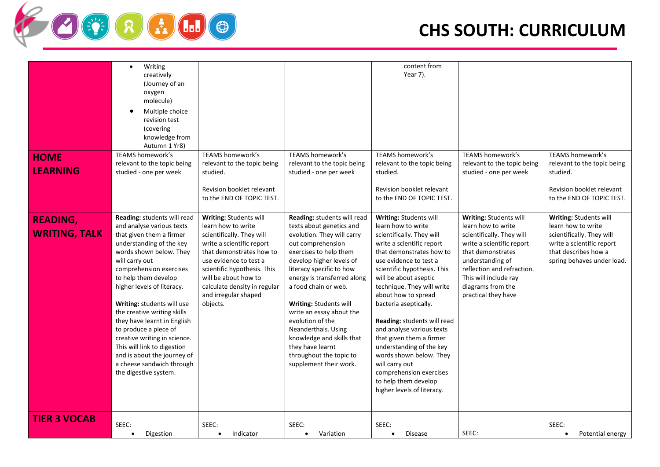

|                      | Writing<br>$\bullet$                                     |                              |                             | content from                                         |                             |                             |
|----------------------|----------------------------------------------------------|------------------------------|-----------------------------|------------------------------------------------------|-----------------------------|-----------------------------|
|                      | creatively                                               |                              |                             | Year 7).                                             |                             |                             |
|                      | (Journey of an                                           |                              |                             |                                                      |                             |                             |
|                      | oxygen                                                   |                              |                             |                                                      |                             |                             |
|                      | molecule)                                                |                              |                             |                                                      |                             |                             |
|                      | Multiple choice<br>٠                                     |                              |                             |                                                      |                             |                             |
|                      | revision test                                            |                              |                             |                                                      |                             |                             |
|                      | (covering                                                |                              |                             |                                                      |                             |                             |
|                      | knowledge from                                           |                              |                             |                                                      |                             |                             |
|                      | Autumn 1 Yr8)                                            |                              |                             |                                                      |                             |                             |
| <b>HOME</b>          | TEAMS homework's                                         | <b>TEAMS homework's</b>      | <b>TEAMS homework's</b>     | TEAMS homework's                                     | <b>TEAMS homework's</b>     | TEAMS homework's            |
|                      | relevant to the topic being                              | relevant to the topic being  | relevant to the topic being | relevant to the topic being                          | relevant to the topic being | relevant to the topic being |
| <b>LEARNING</b>      | studied - one per week                                   | studied.                     | studied - one per week      | studied.                                             | studied - one per week      | studied.                    |
|                      |                                                          |                              |                             |                                                      |                             |                             |
|                      |                                                          | Revision booklet relevant    |                             | Revision booklet relevant                            |                             | Revision booklet relevant   |
|                      |                                                          | to the END OF TOPIC TEST.    |                             | to the END OF TOPIC TEST.                            |                             | to the END OF TOPIC TEST.   |
|                      |                                                          |                              |                             |                                                      |                             |                             |
| <b>READING,</b>      | Reading: students will read                              | Writing: Students will       | Reading: students will read | Writing: Students will                               | Writing: Students will      | Writing: Students will      |
|                      | and analyse various texts                                | learn how to write           | texts about genetics and    | learn how to write                                   | learn how to write          | learn how to write          |
| <b>WRITING, TALK</b> | that given them a firmer                                 | scientifically. They will    | evolution. They will carry  | scientifically. They will                            | scientifically. They will   | scientifically. They will   |
|                      | understanding of the key                                 | write a scientific report    | out comprehension           | write a scientific report                            | write a scientific report   | write a scientific report   |
|                      | words shown below. They                                  | that demonstrates how to     | exercises to help them      | that demonstrates how to                             | that demonstrates           | that describes how a        |
|                      | will carry out                                           | use evidence to test a       | develop higher levels of    | use evidence to test a                               | understanding of            | spring behaves under load.  |
|                      | comprehension exercises                                  | scientific hypothesis. This  | literacy specific to how    | scientific hypothesis. This                          | reflection and refraction.  |                             |
|                      | to help them develop                                     | will be about how to         | energy is transferred along | will be about aseptic                                | This will include ray       |                             |
|                      | higher levels of literacy.                               | calculate density in regular | a food chain or web.        | technique. They will write                           | diagrams from the           |                             |
|                      |                                                          | and irregular shaped         |                             | about how to spread                                  | practical they have         |                             |
|                      | Writing: students will use                               | objects.                     | Writing: Students will      | bacteria aseptically.                                |                             |                             |
|                      | the creative writing skills                              |                              | write an essay about the    |                                                      |                             |                             |
|                      | they have learnt in English                              |                              | evolution of the            | Reading: students will read                          |                             |                             |
|                      | to produce a piece of                                    |                              | Neanderthals. Using         | and analyse various texts                            |                             |                             |
|                      | creative writing in science.                             |                              | knowledge and skills that   | that given them a firmer<br>understanding of the key |                             |                             |
|                      | This will link to digestion                              |                              | they have learnt            |                                                      |                             |                             |
|                      | and is about the journey of<br>a cheese sandwich through |                              | throughout the topic to     | words shown below. They<br>will carry out            |                             |                             |
|                      | the digestive system.                                    |                              | supplement their work.      | comprehension exercises                              |                             |                             |
|                      |                                                          |                              |                             | to help them develop                                 |                             |                             |
|                      |                                                          |                              |                             | higher levels of literacy.                           |                             |                             |
|                      |                                                          |                              |                             |                                                      |                             |                             |
|                      |                                                          |                              |                             |                                                      |                             |                             |
| <b>TIER 3 VOCAB</b>  |                                                          |                              |                             |                                                      |                             |                             |
|                      | SEEC:                                                    | SEEC:                        | SEEC:                       | SEEC:                                                |                             | SEEC:                       |
|                      | Digestion<br>$\bullet$                                   | Indicator<br>$\bullet$       | Variation                   | <b>Disease</b><br>$\bullet$                          | SEEC:                       | Potential energy            |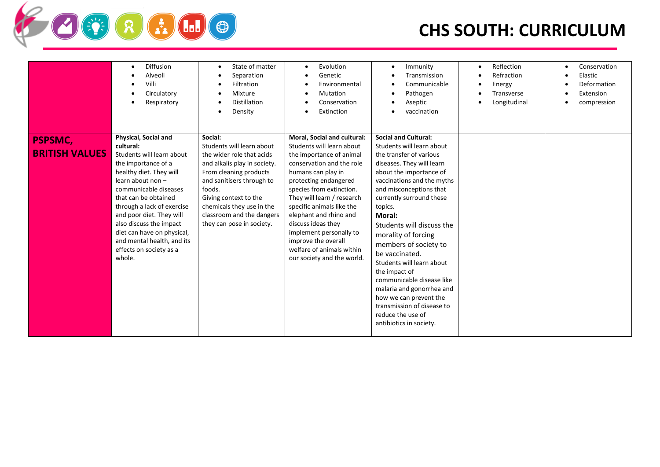# **FRADO**

|                                         | <b>Diffusion</b><br>٠<br>Alveoli<br>Villi<br>Circulatory<br>Respiratory                                                                                                                                                                                                                                                                                                      | State of matter<br>$\bullet$<br>Separation<br>Filtration<br>Mixture<br>$\bullet$<br>Distillation<br>Density<br>$\bullet$                                                                                                                                                           | Evolution<br>$\bullet$<br>Genetic<br>Environmental<br>Mutation<br>Conservation<br>Extinction                                                                                                                                                                                                                                                                                                                         | Immunity<br>$\bullet$<br>Transmission<br>Communicable<br>Pathogen<br>Aseptic<br>vaccination                                                                                                                                                                                                                                                                                                                                                                                                                                                                                 | Reflection<br>Refraction<br>Energy<br>Transverse<br>Longitudinal | Conservation<br>Elastic<br>Deformation<br>Extension<br>compression |
|-----------------------------------------|------------------------------------------------------------------------------------------------------------------------------------------------------------------------------------------------------------------------------------------------------------------------------------------------------------------------------------------------------------------------------|------------------------------------------------------------------------------------------------------------------------------------------------------------------------------------------------------------------------------------------------------------------------------------|----------------------------------------------------------------------------------------------------------------------------------------------------------------------------------------------------------------------------------------------------------------------------------------------------------------------------------------------------------------------------------------------------------------------|-----------------------------------------------------------------------------------------------------------------------------------------------------------------------------------------------------------------------------------------------------------------------------------------------------------------------------------------------------------------------------------------------------------------------------------------------------------------------------------------------------------------------------------------------------------------------------|------------------------------------------------------------------|--------------------------------------------------------------------|
| <b>PSPSMC,</b><br><b>BRITISH VALUES</b> | Physical, Social and<br>cultural:<br>Students will learn about<br>the importance of a<br>healthy diet. They will<br>learn about non -<br>communicable diseases<br>that can be obtained<br>through a lack of exercise<br>and poor diet. They will<br>also discuss the impact<br>diet can have on physical,<br>and mental health, and its<br>effects on society as a<br>whole. | Social:<br>Students will learn about<br>the wider role that acids<br>and alkalis play in society.<br>From cleaning products<br>and sanitisers through to<br>foods.<br>Giving context to the<br>chemicals they use in the<br>classroom and the dangers<br>they can pose in society. | Moral, Social and cultural:<br>Students will learn about<br>the importance of animal<br>conservation and the role<br>humans can play in<br>protecting endangered<br>species from extinction.<br>They will learn / research<br>specific animals like the<br>elephant and rhino and<br>discuss ideas they<br>implement personally to<br>improve the overall<br>welfare of animals within<br>our society and the world. | <b>Social and Cultural:</b><br>Students will learn about<br>the transfer of various<br>diseases. They will learn<br>about the importance of<br>vaccinations and the myths<br>and misconceptions that<br>currently surround these<br>topics.<br><b>Moral:</b><br>Students will discuss the<br>morality of forcing<br>members of society to<br>be vaccinated.<br>Students will learn about<br>the impact of<br>communicable disease like<br>malaria and gonorrhea and<br>how we can prevent the<br>transmission of disease to<br>reduce the use of<br>antibiotics in society. |                                                                  |                                                                    |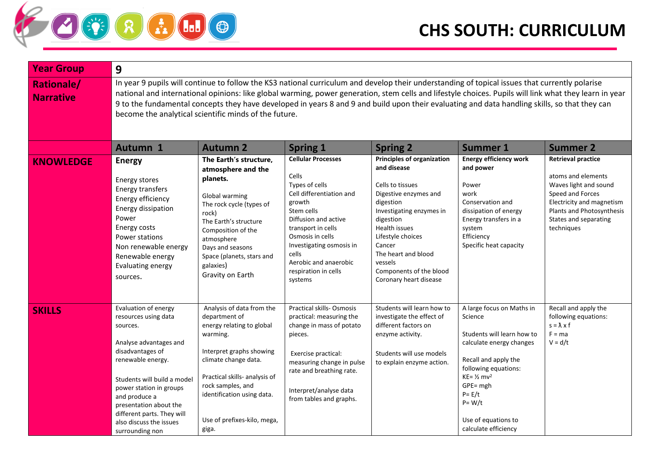| <b>Year Group</b>                     | 9                                                                                                                                                                                                                                                                                                                                                                                                                                                                                                                  |                                                                                                                                                                                                                                                                     |                                                                                                                                                                                                                                                                             |                                                                                                                                                                                                                                                                                     |                                                                                                                                                                                                                                                                   |                                                                                                                                                                                               |  |  |
|---------------------------------------|--------------------------------------------------------------------------------------------------------------------------------------------------------------------------------------------------------------------------------------------------------------------------------------------------------------------------------------------------------------------------------------------------------------------------------------------------------------------------------------------------------------------|---------------------------------------------------------------------------------------------------------------------------------------------------------------------------------------------------------------------------------------------------------------------|-----------------------------------------------------------------------------------------------------------------------------------------------------------------------------------------------------------------------------------------------------------------------------|-------------------------------------------------------------------------------------------------------------------------------------------------------------------------------------------------------------------------------------------------------------------------------------|-------------------------------------------------------------------------------------------------------------------------------------------------------------------------------------------------------------------------------------------------------------------|-----------------------------------------------------------------------------------------------------------------------------------------------------------------------------------------------|--|--|
| <b>Rationale/</b><br><b>Narrative</b> | In year 9 pupils will continue to follow the KS3 national curriculum and develop their understanding of topical issues that currently polarise<br>national and international opinions: like global warming, power generation, stem cells and lifestyle choices. Pupils will link what they learn in year<br>9 to the fundamental concepts they have developed in years 8 and 9 and build upon their evaluating and data handling skills, so that they can<br>become the analytical scientific minds of the future. |                                                                                                                                                                                                                                                                     |                                                                                                                                                                                                                                                                             |                                                                                                                                                                                                                                                                                     |                                                                                                                                                                                                                                                                   |                                                                                                                                                                                               |  |  |
|                                       | Autumn 1                                                                                                                                                                                                                                                                                                                                                                                                                                                                                                           | <b>Autumn 2</b>                                                                                                                                                                                                                                                     | <b>Spring 1</b>                                                                                                                                                                                                                                                             | <b>Spring 2</b>                                                                                                                                                                                                                                                                     | <b>Summer 1</b>                                                                                                                                                                                                                                                   | <b>Summer 2</b>                                                                                                                                                                               |  |  |
| <b>KNOWLEDGE</b>                      | <b>Energy</b><br>Energy stores<br>Energy transfers<br>Energy efficiency<br>Energy dissipation<br>Power<br>Energy costs<br>Power stations<br>Non renewable energy<br>Renewable energy<br>Evaluating energy<br>sources.                                                                                                                                                                                                                                                                                              | The Earth's structure,<br>atmosphere and the<br>planets.<br>Global warming<br>The rock cycle (types of<br>rock)<br>The Earth's structure<br>Composition of the<br>atmosphere<br>Days and seasons<br>Space (planets, stars and<br>galaxies)<br>Gravity on Earth      | <b>Cellular Processes</b><br>Cells<br>Types of cells<br>Cell differentiation and<br>growth<br>Stem cells<br>Diffusion and active<br>transport in cells<br>Osmosis in cells<br>Investigating osmosis in<br>cells<br>Aerobic and anaerobic<br>respiration in cells<br>systems | Principles of organization<br>and disease<br>Cells to tissues<br>Digestive enzymes and<br>digestion<br>Investigating enzymes in<br>digestion<br>Health issues<br>Lifestyle choices<br>Cancer<br>The heart and blood<br>vessels<br>Components of the blood<br>Coronary heart disease | <b>Energy efficiency work</b><br>and power<br>Power<br>work<br>Conservation and<br>dissipation of energy<br>Energy transfers in a<br>system<br>Efficiency<br>Specific heat capacity                                                                               | <b>Retrieval practice</b><br>atoms and elements<br>Waves light and sound<br>Speed and Forces<br>Electricity and magnetism<br>Plants and Photosynthesis<br>States and separating<br>techniques |  |  |
| <b>SKILLS</b>                         | Evaluation of energy<br>resources using data<br>sources.<br>Analyse advantages and<br>disadvantages of<br>renewable energy.<br>Students will build a model<br>power station in groups<br>and produce a<br>presentation about the<br>different parts. They will<br>also discuss the issues<br>surrounding non                                                                                                                                                                                                       | Analysis of data from the<br>department of<br>energy relating to global<br>warming.<br>Interpret graphs showing<br>climate change data.<br>Practical skills- analysis of<br>rock samples, and<br>identification using data.<br>Use of prefixes-kilo, mega,<br>giga. | <b>Practical skills- Osmosis</b><br>practical: measuring the<br>change in mass of potato<br>pieces.<br>Exercise practical:<br>measuring change in pulse<br>rate and breathing rate.<br>Interpret/analyse data<br>from tables and graphs.                                    | Students will learn how to<br>investigate the effect of<br>different factors on<br>enzyme activity.<br>Students will use models<br>to explain enzyme action.                                                                                                                        | A large focus on Maths in<br>Science<br>Students will learn how to<br>calculate energy changes<br>Recall and apply the<br>following equations:<br>$KE = 1/2$ mv <sup>2</sup><br>GPE= mgh<br>$P = E/t$<br>$P = W/t$<br>Use of equations to<br>calculate efficiency | Recall and apply the<br>following equations:<br>$s = \lambda \times f$<br>$F = ma$<br>$V = d/t$                                                                                               |  |  |

 $R$   $\left( 1 \right)$   $\left( 1 \right)$   $\left( 0 \right)$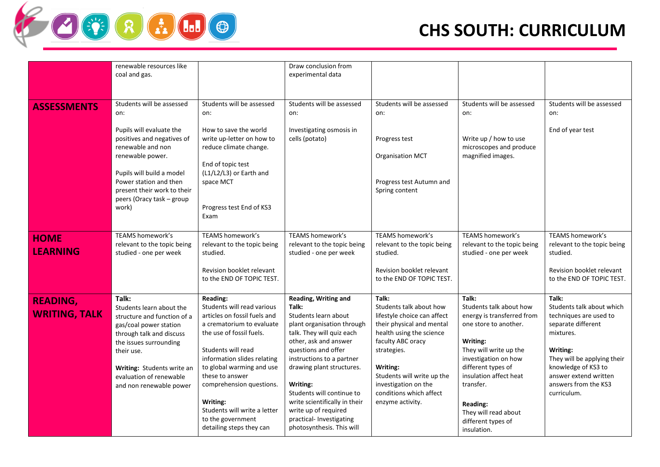

|                                         | renewable resources like<br>coal and gas.                                                                                                                                                                                                                       |                                                                                                                                                                                                                                                                                                                                                               | Draw conclusion from<br>experimental data                                                                                                                                                                                                                                                                                                                                             |                                                                                                                                                                                                                                                                               |                                                                                                                                                                                                                                                                                                    |                                                                                                                                                                                                                                   |
|-----------------------------------------|-----------------------------------------------------------------------------------------------------------------------------------------------------------------------------------------------------------------------------------------------------------------|---------------------------------------------------------------------------------------------------------------------------------------------------------------------------------------------------------------------------------------------------------------------------------------------------------------------------------------------------------------|---------------------------------------------------------------------------------------------------------------------------------------------------------------------------------------------------------------------------------------------------------------------------------------------------------------------------------------------------------------------------------------|-------------------------------------------------------------------------------------------------------------------------------------------------------------------------------------------------------------------------------------------------------------------------------|----------------------------------------------------------------------------------------------------------------------------------------------------------------------------------------------------------------------------------------------------------------------------------------------------|-----------------------------------------------------------------------------------------------------------------------------------------------------------------------------------------------------------------------------------|
| <b>ASSESSMENTS</b>                      | Students will be assessed<br>on:<br>Pupils will evaluate the<br>positives and negatives of<br>renewable and non<br>renewable power.<br>Pupils will build a model<br>Power station and then<br>present their work to their<br>peers (Oracy task - group<br>work) | Students will be assessed<br>on:<br>How to save the world<br>write up-letter on how to<br>reduce climate change.<br>End of topic test<br>(L1/L2/L3) or Earth and<br>space MCT<br>Progress test End of KS3<br>Exam                                                                                                                                             | Students will be assessed<br>on:<br>Investigating osmosis in<br>cells (potato)                                                                                                                                                                                                                                                                                                        | Students will be assessed<br>on:<br>Progress test<br>Organisation MCT<br>Progress test Autumn and<br>Spring content                                                                                                                                                           | Students will be assessed<br>on:<br>Write up / how to use<br>microscopes and produce<br>magnified images.                                                                                                                                                                                          | Students will be assessed<br>on:<br>End of year test                                                                                                                                                                              |
| <b>HOME</b><br><b>LEARNING</b>          | <b>TEAMS homework's</b><br>relevant to the topic being<br>studied - one per week                                                                                                                                                                                | <b>TEAMS homework's</b><br>relevant to the topic being<br>studied.<br>Revision booklet relevant<br>to the END OF TOPIC TEST.                                                                                                                                                                                                                                  | <b>TEAMS homework's</b><br>relevant to the topic being<br>studied - one per week                                                                                                                                                                                                                                                                                                      | TEAMS homework's<br>relevant to the topic being<br>studied.<br>Revision booklet relevant<br>to the END OF TOPIC TEST.                                                                                                                                                         | <b>TEAMS homework's</b><br>relevant to the topic being<br>studied - one per week                                                                                                                                                                                                                   | <b>TEAMS homework's</b><br>relevant to the topic being<br>studied.<br>Revision booklet relevant<br>to the END OF TOPIC TEST.                                                                                                      |
| <b>READING,</b><br><b>WRITING, TALK</b> | Talk:<br>Students learn about the<br>structure and function of a<br>gas/coal power station<br>through talk and discuss<br>the issues surrounding<br>their use.<br>Writing: Students write an<br>evaluation of renewable<br>and non renewable power              | Reading:<br>Students will read various<br>articles on fossil fuels and<br>a crematorium to evaluate<br>the use of fossil fuels.<br>Students will read<br>information slides relating<br>to global warming and use<br>these to answer<br>comprehension questions.<br>Writing:<br>Students will write a letter<br>to the government<br>detailing steps they can | Reading, Writing and<br>Talk:<br>Students learn about<br>plant organisation through<br>talk. They will quiz each<br>other, ask and answer<br>questions and offer<br>instructions to a partner<br>drawing plant structures.<br>Writing:<br>Students will continue to<br>write scientifically in their<br>write up of required<br>practical- Investigating<br>photosynthesis. This will | Talk:<br>Students talk about how<br>lifestyle choice can affect<br>their physical and mental<br>health using the science<br>faculty ABC oracy<br>strategies.<br>Writing:<br>Students will write up the<br>investigation on the<br>conditions which affect<br>enzyme activity. | Talk:<br>Students talk about how<br>energy is transferred from<br>one store to another.<br>Writing:<br>They will write up the<br>investigation on how<br>different types of<br>insulation affect heat<br>transfer.<br><b>Reading:</b><br>They will read about<br>different types of<br>insulation. | Talk:<br>Students talk about which<br>techniques are used to<br>separate different<br>mixtures.<br>Writing:<br>They will be applying their<br>knowledge of KS3 to<br>answer extend written<br>answers from the KS3<br>curriculum. |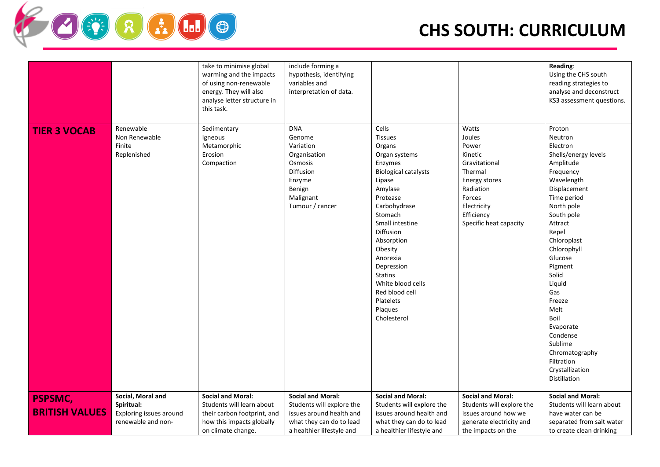

|                                         |                                                                                  | take to minimise global<br>warming and the impacts<br>of using non-renewable<br>energy. They will also<br>analyse letter structure in<br>this task. | include forming a<br>hypothesis, identifying<br>variables and<br>interpretation of data.                                                   |                                                                                                                                                                                                                                                                                                                                             |                                                                                                                                                                       | Reading:<br>Using the CHS south<br>reading strategies to<br>analyse and deconstruct<br>KS3 assessment questions.                                                                                                                                                                                                                                                                            |
|-----------------------------------------|----------------------------------------------------------------------------------|-----------------------------------------------------------------------------------------------------------------------------------------------------|--------------------------------------------------------------------------------------------------------------------------------------------|---------------------------------------------------------------------------------------------------------------------------------------------------------------------------------------------------------------------------------------------------------------------------------------------------------------------------------------------|-----------------------------------------------------------------------------------------------------------------------------------------------------------------------|---------------------------------------------------------------------------------------------------------------------------------------------------------------------------------------------------------------------------------------------------------------------------------------------------------------------------------------------------------------------------------------------|
| <b>TIER 3 VOCAB</b>                     | Renewable<br>Non Renewable<br>Finite<br>Replenished                              | Sedimentary<br>Igneous<br>Metamorphic<br>Erosion<br>Compaction                                                                                      | <b>DNA</b><br>Genome<br>Variation<br>Organisation<br>Osmosis<br>Diffusion<br>Enzyme<br>Benign<br>Malignant<br>Tumour / cancer              | Cells<br><b>Tissues</b><br>Organs<br>Organ systems<br>Enzymes<br><b>Biological catalysts</b><br>Lipase<br>Amylase<br>Protease<br>Carbohydrase<br>Stomach<br>Small intestine<br>Diffusion<br>Absorption<br>Obesity<br>Anorexia<br>Depression<br><b>Statins</b><br>White blood cells<br>Red blood cell<br>Platelets<br>Plaques<br>Cholesterol | Watts<br>Joules<br>Power<br>Kinetic<br>Gravitational<br>Thermal<br><b>Energy stores</b><br>Radiation<br>Forces<br>Electricity<br>Efficiency<br>Specific heat capacity | Proton<br>Neutron<br>Electron<br>Shells/energy levels<br>Amplitude<br>Frequency<br>Wavelength<br>Displacement<br>Time period<br>North pole<br>South pole<br>Attract<br>Repel<br>Chloroplast<br>Chlorophyll<br>Glucose<br>Pigment<br>Solid<br>Liquid<br>Gas<br>Freeze<br>Melt<br>Boil<br>Evaporate<br>Condense<br>Sublime<br>Chromatography<br>Filtration<br>Crystallization<br>Distillation |
| <b>PSPSMC,</b><br><b>BRITISH VALUES</b> | Social, Moral and<br>Spiritual:<br>Exploring issues around<br>renewable and non- | <b>Social and Moral:</b><br>Students will learn about<br>their carbon footprint, and<br>how this impacts globally<br>on climate change.             | <b>Social and Moral:</b><br>Students will explore the<br>issues around health and<br>what they can do to lead<br>a healthier lifestyle and | <b>Social and Moral:</b><br>Students will explore the<br>issues around health and<br>what they can do to lead<br>a healthier lifestyle and                                                                                                                                                                                                  | <b>Social and Moral:</b><br>Students will explore the<br>issues around how we<br>generate electricity and<br>the impacts on the                                       | <b>Social and Moral:</b><br>Students will learn about<br>have water can be<br>separated from salt water<br>to create clean drinking                                                                                                                                                                                                                                                         |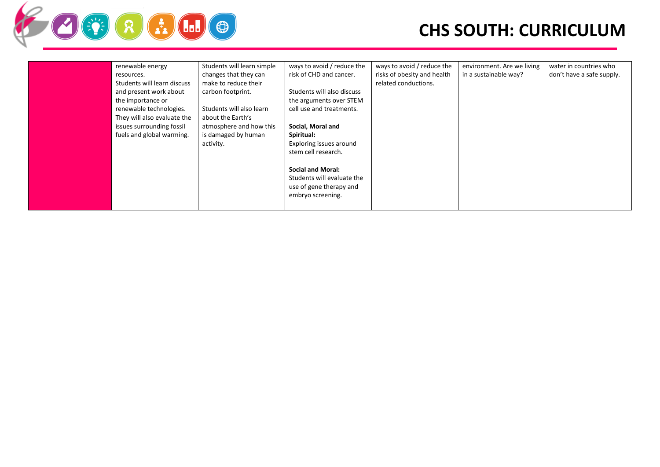

| renewable energy            | Students will learn simple | ways to avoid / reduce the | ways to avoid / reduce the  | environment. Are we living | water in countries who    |
|-----------------------------|----------------------------|----------------------------|-----------------------------|----------------------------|---------------------------|
| resources.                  | changes that they can      | risk of CHD and cancer.    | risks of obesity and health | in a sustainable way?      | don't have a safe supply. |
| Students will learn discuss | make to reduce their       |                            | related conductions.        |                            |                           |
| and present work about      | carbon footprint.          | Students will also discuss |                             |                            |                           |
| the importance or           |                            | the arguments over STEM    |                             |                            |                           |
| renewable technologies.     | Students will also learn   | cell use and treatments.   |                             |                            |                           |
| They will also evaluate the | about the Earth's          |                            |                             |                            |                           |
| issues surrounding fossil   | atmosphere and how this    | Social, Moral and          |                             |                            |                           |
| fuels and global warming.   | is damaged by human        | Spiritual:                 |                             |                            |                           |
|                             | activity.                  | Exploring issues around    |                             |                            |                           |
|                             |                            | stem cell research.        |                             |                            |                           |
|                             |                            |                            |                             |                            |                           |
|                             |                            | <b>Social and Moral:</b>   |                             |                            |                           |
|                             |                            | Students will evaluate the |                             |                            |                           |
|                             |                            | use of gene therapy and    |                             |                            |                           |
|                             |                            | embryo screening.          |                             |                            |                           |
|                             |                            |                            |                             |                            |                           |
|                             |                            |                            |                             |                            |                           |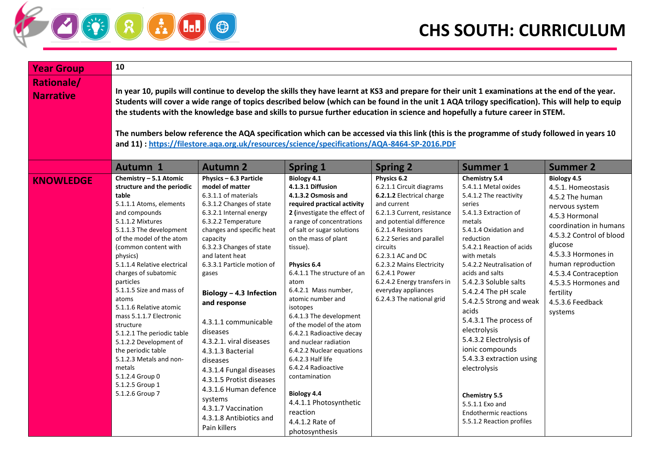## $R$   $I$   $I$   $I$  $\left(\frac{\partial \mathbf{f}}{\partial \xi}\right)$

| <b>Year Group</b>                     | 10                                                                                                                                                                                                                                                                                                                                                                                                                                                                                                                                                                                                                                                                                 |                                                                                                                                                                                                                                                                                                                                                                                                                                                                                                                                                                                        |                                                                                                                                                                                                                                                                                                                                                                                                                                                                                                                                                                                                                                              |                                                                                                                                                                                                                                                                                                                                                                    |                                                                                                                                                                                                                                                                                                                                                                                                                                                                                                                                                                                        |                                                                                                                                                                                                                                                                                                            |  |  |
|---------------------------------------|------------------------------------------------------------------------------------------------------------------------------------------------------------------------------------------------------------------------------------------------------------------------------------------------------------------------------------------------------------------------------------------------------------------------------------------------------------------------------------------------------------------------------------------------------------------------------------------------------------------------------------------------------------------------------------|----------------------------------------------------------------------------------------------------------------------------------------------------------------------------------------------------------------------------------------------------------------------------------------------------------------------------------------------------------------------------------------------------------------------------------------------------------------------------------------------------------------------------------------------------------------------------------------|----------------------------------------------------------------------------------------------------------------------------------------------------------------------------------------------------------------------------------------------------------------------------------------------------------------------------------------------------------------------------------------------------------------------------------------------------------------------------------------------------------------------------------------------------------------------------------------------------------------------------------------------|--------------------------------------------------------------------------------------------------------------------------------------------------------------------------------------------------------------------------------------------------------------------------------------------------------------------------------------------------------------------|----------------------------------------------------------------------------------------------------------------------------------------------------------------------------------------------------------------------------------------------------------------------------------------------------------------------------------------------------------------------------------------------------------------------------------------------------------------------------------------------------------------------------------------------------------------------------------------|------------------------------------------------------------------------------------------------------------------------------------------------------------------------------------------------------------------------------------------------------------------------------------------------------------|--|--|
| <b>Rationale/</b><br><b>Narrative</b> | In year 10, pupils will continue to develop the skills they have learnt at KS3 and prepare for their unit 1 examinations at the end of the year.<br>Students will cover a wide range of topics described below (which can be found in the unit 1 AQA trilogy specification). This will help to equip<br>the students with the knowledge base and skills to pursue further education in science and hopefully a future career in STEM.<br>The numbers below reference the AQA specification which can be accessed via this link (this is the programme of study followed in years 10<br>and 11): https://filestore.aqa.org.uk/resources/science/specifications/AQA-8464-SP-2016.PDF |                                                                                                                                                                                                                                                                                                                                                                                                                                                                                                                                                                                        |                                                                                                                                                                                                                                                                                                                                                                                                                                                                                                                                                                                                                                              |                                                                                                                                                                                                                                                                                                                                                                    |                                                                                                                                                                                                                                                                                                                                                                                                                                                                                                                                                                                        |                                                                                                                                                                                                                                                                                                            |  |  |
|                                       | Autumn 1                                                                                                                                                                                                                                                                                                                                                                                                                                                                                                                                                                                                                                                                           | <b>Autumn 2</b>                                                                                                                                                                                                                                                                                                                                                                                                                                                                                                                                                                        | <b>Spring 1</b>                                                                                                                                                                                                                                                                                                                                                                                                                                                                                                                                                                                                                              | <b>Spring 2</b>                                                                                                                                                                                                                                                                                                                                                    | <b>Summer 1</b>                                                                                                                                                                                                                                                                                                                                                                                                                                                                                                                                                                        | <b>Summer 2</b>                                                                                                                                                                                                                                                                                            |  |  |
| <b>KNOWLEDGE</b>                      | Chemistry - 5.1 Atomic<br>structure and the periodic<br>table<br>5.1.1.1 Atoms, elements<br>and compounds<br>5.1.1.2 Mixtures<br>5.1.1.3 The development<br>of the model of the atom<br>(common content with<br>physics)<br>5.1.1.4 Relative electrical<br>charges of subatomic<br>particles<br>5.1.1.5 Size and mass of<br>atoms<br>5.1.1.6 Relative atomic<br>mass 5.1.1.7 Electronic<br>structure<br>5.1.2.1 The periodic table<br>5.1.2.2 Development of<br>the periodic table<br>5.1.2.3 Metals and non-<br>metals<br>5.1.2.4 Group 0<br>5.1.2.5 Group 1<br>5.1.2.6 Group 7                                                                                                   | Physics - 6.3 Particle<br>model of matter<br>6.3.1.1 of materials<br>6.3.1.2 Changes of state<br>6.3.2.1 Internal energy<br>6.3.2.2 Temperature<br>changes and specific heat<br>capacity<br>6.3.2.3 Changes of state<br>and latent heat<br>6.3.3.1 Particle motion of<br>gases<br>Biology - 4.3 Infection<br>and response<br>4.3.1.1 communicable<br>diseases<br>4.3.2.1. viral diseases<br>4.3.1.3 Bacterial<br>diseases<br>4.3.1.4 Fungal diseases<br>4.3.1.5 Protist diseases<br>4.3.1.6 Human defence<br>systems<br>4.3.1.7 Vaccination<br>4.3.1.8 Antibiotics and<br>Pain killers | Biology 4.1<br>4.1.3.1 Diffusion<br>4.1.3.2 Osmosis and<br>required practical activity<br>2 (investigate the effect of<br>a range of concentrations<br>of salt or sugar solutions<br>on the mass of plant<br>tissue).<br>Physics 6.4<br>6.4.1.1 The structure of an<br>atom<br>6.4.2.1 Mass number,<br>atomic number and<br>isotopes<br>6.4.1.3 The development<br>of the model of the atom<br>6.4.2.1 Radioactive decay<br>and nuclear radiation<br>6.4.2.2 Nuclear equations<br>6.4.2.3 Half life<br>6.4.2.4 Radioactive<br>contamination<br><b>Biology 4.4</b><br>4.4.1.1 Photosynthetic<br>reaction<br>4.4.1.2 Rate of<br>photosynthesis | Physics 6.2<br>6.2.1.1 Circuit diagrams<br>6.2.1.2 Electrical charge<br>and current<br>6.2.1.3 Current, resistance<br>and potential difference<br>6.2.1.4 Resistors<br>6.2.2 Series and parallel<br>circuits<br>6.2.3.1 AC and DC<br>6.2.3.2 Mains Electricity<br>6.2.4.1 Power<br>6.2.4.2 Energy transfers in<br>everyday appliances<br>6.2.4.3 The national grid | <b>Chemistry 5.4</b><br>5.4.1.1 Metal oxides<br>5.4.1.2 The reactivity<br>series<br>5.4.1.3 Extraction of<br>metals<br>5.4.1.4 Oxidation and<br>reduction<br>5.4.2.1 Reaction of acids<br>with metals<br>5.4.2.2 Neutralisation of<br>acids and salts<br>5.4.2.3 Soluble salts<br>5.4.2.4 The pH scale<br>5.4.2.5 Strong and weak<br>acids<br>5.4.3.1 The process of<br>electrolysis<br>5.4.3.2 Electrolysis of<br>ionic compounds<br>5.4.3.3 extraction using<br>electrolysis<br><b>Chemistry 5.5</b><br>5.5.1.1 Exo and<br><b>Endothermic reactions</b><br>5.5.1.2 Reaction profiles | <b>Biology 4.5</b><br>4.5.1. Homeostasis<br>4.5.2 The human<br>nervous system<br>4.5.3 Hormonal<br>coordination in humans<br>4.5.3.2 Control of blood<br>glucose<br>4.5.3.3 Hormones in<br>human reproduction<br>4.5.3.4 Contraception<br>4.5.3.5 Hormones and<br>fertility<br>4.5.3.6 Feedback<br>systems |  |  |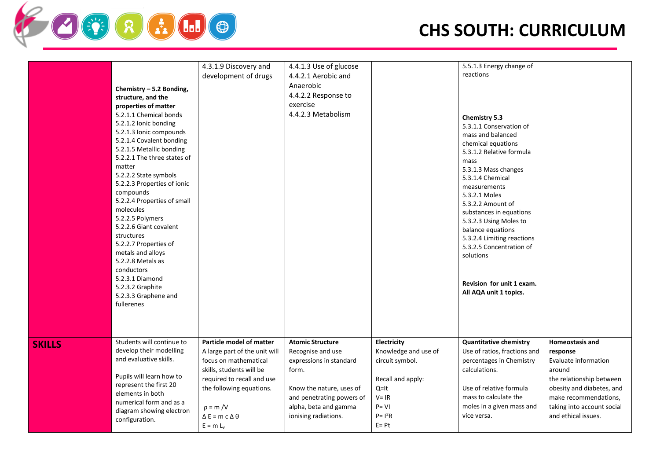

|               | Chemistry - 5.2 Bonding,<br>structure, and the<br>properties of matter<br>5.2.1.1 Chemical bonds<br>5.2.1.2 Ionic bonding<br>5.2.1.3 Ionic compounds<br>5.2.1.4 Covalent bonding<br>5.2.1.5 Metallic bonding<br>5.2.2.1 The three states of<br>matter<br>5.2.2.2 State symbols<br>5.2.2.3 Properties of ionic<br>compounds<br>5.2.2.4 Properties of small<br>molecules<br>5.2.2.5 Polymers<br>5.2.2.6 Giant covalent<br>structures<br>5.2.2.7 Properties of<br>metals and alloys<br>5.2.2.8 Metals as<br>conductors<br>5.2.3.1 Diamond<br>5.2.3.2 Graphite<br>5.2.3.3 Graphene and<br>fullerenes | 4.3.1.9 Discovery and<br>development of drugs                                                                                                                                                                                            | 4.4.1.3 Use of glucose<br>4.4.2.1 Aerobic and<br>Anaerobic<br>4.4.2.2 Response to<br>exercise<br>4.4.2.3 Metabolism                                                                        |                                                                                                                                        | 5.5.1.3 Energy change of<br>reactions<br>Chemistry 5.3<br>5.3.1.1 Conservation of<br>mass and balanced<br>chemical equations<br>5.3.1.2 Relative formula<br>mass<br>5.3.1.3 Mass changes<br>5.3.1.4 Chemical<br>measurements<br>5.3.2.1 Moles<br>5.3.2.2 Amount of<br>substances in equations<br>5.3.2.3 Using Moles to<br>balance equations<br>5.3.2.4 Limiting reactions<br>5.3.2.5 Concentration of<br>solutions<br>Revision for unit 1 exam.<br>All AQA unit 1 topics. |                                                                                                                                                                                                      |
|---------------|--------------------------------------------------------------------------------------------------------------------------------------------------------------------------------------------------------------------------------------------------------------------------------------------------------------------------------------------------------------------------------------------------------------------------------------------------------------------------------------------------------------------------------------------------------------------------------------------------|------------------------------------------------------------------------------------------------------------------------------------------------------------------------------------------------------------------------------------------|--------------------------------------------------------------------------------------------------------------------------------------------------------------------------------------------|----------------------------------------------------------------------------------------------------------------------------------------|----------------------------------------------------------------------------------------------------------------------------------------------------------------------------------------------------------------------------------------------------------------------------------------------------------------------------------------------------------------------------------------------------------------------------------------------------------------------------|------------------------------------------------------------------------------------------------------------------------------------------------------------------------------------------------------|
| <b>SKILLS</b> | Students will continue to<br>develop their modelling<br>and evaluative skills.<br>Pupils will learn how to<br>represent the first 20<br>elements in both<br>numerical form and as a<br>diagram showing electron<br>configuration.                                                                                                                                                                                                                                                                                                                                                                | Particle model of matter<br>A large part of the unit will<br>focus on mathematical<br>skills, students will be<br>required to recall and use<br>the following equations.<br>$p = m/V$<br>$\Delta E$ = m c $\Delta \theta$<br>$E = m L_v$ | <b>Atomic Structure</b><br>Recognise and use<br>expressions in standard<br>form.<br>Know the nature, uses of<br>and penetrating powers of<br>alpha, beta and gamma<br>ionising radiations. | Electricity<br>Knowledge and use of<br>circuit symbol.<br>Recall and apply:<br>$Q=It$<br>$V = IR$<br>$P = VI$<br>$P = 12R$<br>$E = Pt$ | <b>Quantitative chemistry</b><br>Use of ratios, fractions and<br>percentages in Chemistry<br>calculations.<br>Use of relative formula<br>mass to calculate the<br>moles in a given mass and<br>vice versa.                                                                                                                                                                                                                                                                 | Homeostasis and<br>response<br>Evaluate information<br>around<br>the relationship between<br>obesity and diabetes, and<br>make recommendations,<br>taking into account social<br>and ethical issues. |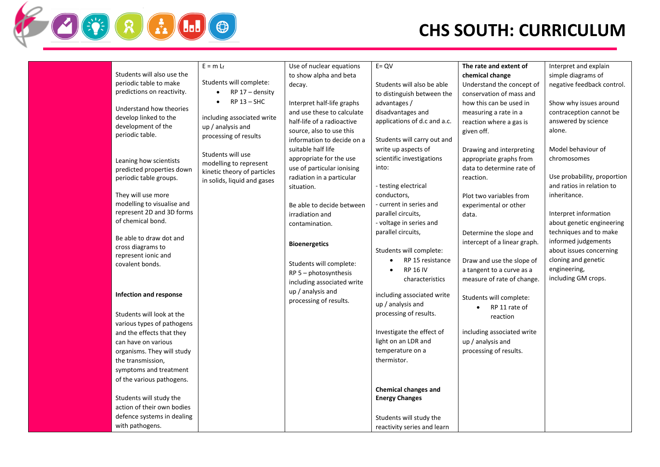|                               | $E = m L_f$                  | Use of nuclear equations   | $E = QV$                     | The rate and extent of       | Interpret and explain       |
|-------------------------------|------------------------------|----------------------------|------------------------------|------------------------------|-----------------------------|
| Students will also use the    |                              | to show alpha and beta     |                              | chemical change              | simple diagrams of          |
| periodic table to make        | Students will complete:      | decay.                     | Students will also be able   | Understand the concept of    | negative feedback control.  |
| predictions on reactivity.    | RP 17 - density<br>$\bullet$ |                            | to distinguish between the   | conservation of mass and     |                             |
|                               | $RP$ 13 - SHC<br>$\bullet$   | Interpret half-life graphs | advantages /                 | how this can be used in      | Show why issues around      |
| Understand how theories       |                              | and use these to calculate | disadvantages and            | measuring a rate in a        | contraception cannot be     |
| develop linked to the         | including associated write   | half-life of a radioactive | applications of d.c and a.c. | reaction where a gas is      | answered by science         |
| development of the            | up / analysis and            | source, also to use this   |                              | given off.                   | alone.                      |
| periodic table.               | processing of results        | information to decide on a | Students will carry out and  |                              |                             |
|                               |                              | suitable half life         | write up aspects of          | Drawing and interpreting     | Model behaviour of          |
|                               | Students will use            | appropriate for the use    | scientific investigations    | appropriate graphs from      | chromosomes                 |
| Leaning how scientists        | modelling to represent       | use of particular ionising | into:                        | data to determine rate of    |                             |
| predicted properties down     | kinetic theory of particles  | radiation in a particular  |                              | reaction.                    | Use probability, proportion |
| periodic table groups.        | in solids, liquid and gases  |                            | - testing electrical         |                              | and ratios in relation to   |
| They will use more            |                              | situation.                 | conductors,                  | Plot two variables from      | inheritance.                |
| modelling to visualise and    |                              |                            | - current in series and      |                              |                             |
| represent 2D and 3D forms     |                              | Be able to decide between  | parallel circuits,           | experimental or other        | Interpret information       |
| of chemical bond.             |                              | irradiation and            | - voltage in series and      | data.                        | about genetic engineering   |
|                               |                              | contamination.             | parallel circuits,           |                              | techniques and to make      |
| Be able to draw dot and       |                              |                            |                              | Determine the slope and      |                             |
| cross diagrams to             |                              | <b>Bioenergetics</b>       |                              | intercept of a linear graph. | informed judgements         |
| represent ionic and           |                              |                            | Students will complete:      |                              | about issues concerning     |
| covalent bonds.               |                              | Students will complete:    | RP 15 resistance             | Draw and use the slope of    | cloning and genetic         |
|                               |                              | $RP 5 - photosynthesis$    | <b>RP 16 IV</b>              | a tangent to a curve as a    | engineering,                |
|                               |                              | including associated write | characteristics              | measure of rate of change.   | including GM crops.         |
| <b>Infection and response</b> |                              | up / analysis and          | including associated write   |                              |                             |
|                               |                              | processing of results.     | up / analysis and            | Students will complete:      |                             |
| Students will look at the     |                              |                            | processing of results.       | RP 11 rate of<br>$\bullet$   |                             |
| various types of pathogens    |                              |                            |                              | reaction                     |                             |
| and the effects that they     |                              |                            | Investigate the effect of    | including associated write   |                             |
| can have on various           |                              |                            | light on an LDR and          | up / analysis and            |                             |
| organisms. They will study    |                              |                            | temperature on a             | processing of results.       |                             |
| the transmission,             |                              |                            | thermistor.                  |                              |                             |
| symptoms and treatment        |                              |                            |                              |                              |                             |
| of the various pathogens.     |                              |                            |                              |                              |                             |
|                               |                              |                            | <b>Chemical changes and</b>  |                              |                             |
| Students will study the       |                              |                            | <b>Energy Changes</b>        |                              |                             |
| action of their own bodies    |                              |                            |                              |                              |                             |
| defence systems in dealing    |                              |                            |                              |                              |                             |
| with pathogens.               |                              |                            | Students will study the      |                              |                             |
|                               |                              |                            | reactivity series and learn  |                              |                             |

ŸRHOO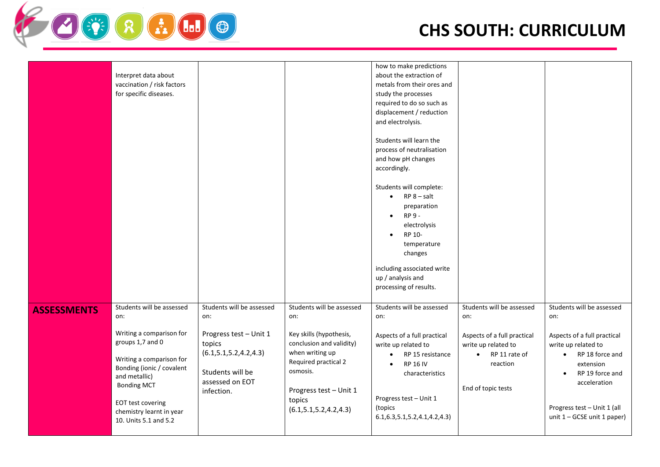

|                    | Interpret data about<br>vaccination / risk factors<br>for specific diseases.                                                                                                                                                                                      |                                                                                                                                                        |                                                                                                                                                                                                                 | how to make predictions<br>about the extraction of<br>metals from their ores and<br>study the processes<br>required to do so such as<br>displacement / reduction<br>and electrolysis.<br>Students will learn the<br>process of neutralisation<br>and how pH changes<br>accordingly.<br>Students will complete:<br>$RP 8 - salt$<br>$\bullet$<br>preparation<br>RP 9 -<br>$\bullet$<br>electrolysis<br>RP 10-<br>$\bullet$<br>temperature<br>changes<br>including associated write |                                                                                                                                                        |                                                                                                                                                                                                                                                     |
|--------------------|-------------------------------------------------------------------------------------------------------------------------------------------------------------------------------------------------------------------------------------------------------------------|--------------------------------------------------------------------------------------------------------------------------------------------------------|-----------------------------------------------------------------------------------------------------------------------------------------------------------------------------------------------------------------|-----------------------------------------------------------------------------------------------------------------------------------------------------------------------------------------------------------------------------------------------------------------------------------------------------------------------------------------------------------------------------------------------------------------------------------------------------------------------------------|--------------------------------------------------------------------------------------------------------------------------------------------------------|-----------------------------------------------------------------------------------------------------------------------------------------------------------------------------------------------------------------------------------------------------|
|                    |                                                                                                                                                                                                                                                                   |                                                                                                                                                        |                                                                                                                                                                                                                 | up / analysis and                                                                                                                                                                                                                                                                                                                                                                                                                                                                 |                                                                                                                                                        |                                                                                                                                                                                                                                                     |
|                    |                                                                                                                                                                                                                                                                   |                                                                                                                                                        |                                                                                                                                                                                                                 | processing of results.                                                                                                                                                                                                                                                                                                                                                                                                                                                            |                                                                                                                                                        |                                                                                                                                                                                                                                                     |
| <b>ASSESSMENTS</b> | Students will be assessed<br>on:<br>Writing a comparison for<br>groups 1,7 and 0<br>Writing a comparison for<br>Bonding (ionic / covalent<br>and metallic)<br><b>Bonding MCT</b><br><b>EOT test covering</b><br>chemistry learnt in year<br>10. Units 5.1 and 5.2 | Students will be assessed<br>on:<br>Progress test - Unit 1<br>topics<br>(6.1, 5.1, 5.2, 4.2, 4.3)<br>Students will be<br>assessed on EOT<br>infection. | Students will be assessed<br>on:<br>Key skills (hypothesis,<br>conclusion and validity)<br>when writing up<br>Required practical 2<br>osmosis.<br>Progress test - Unit 1<br>topics<br>(6.1, 5.1, 5.2, 4.2, 4.3) | Students will be assessed<br>on:<br>Aspects of a full practical<br>write up related to<br>RP 15 resistance<br>$\bullet$<br><b>RP 16 IV</b><br>$\bullet$<br>characteristics<br>Progress test - Unit 1<br>(topics<br>6.1, 6.3, 5.1, 5.2, 4.1, 4.2, 4.3                                                                                                                                                                                                                              | Students will be assessed<br>on:<br>Aspects of a full practical<br>write up related to<br>RP 11 rate of<br>$\bullet$<br>reaction<br>End of topic tests | Students will be assessed<br>on:<br>Aspects of a full practical<br>write up related to<br>RP 18 force and<br>$\bullet$<br>extension<br>RP 19 force and<br>$\bullet$<br>acceleration<br>Progress test - Unit 1 (all<br>unit $1 - GCSE$ unit 1 paper) |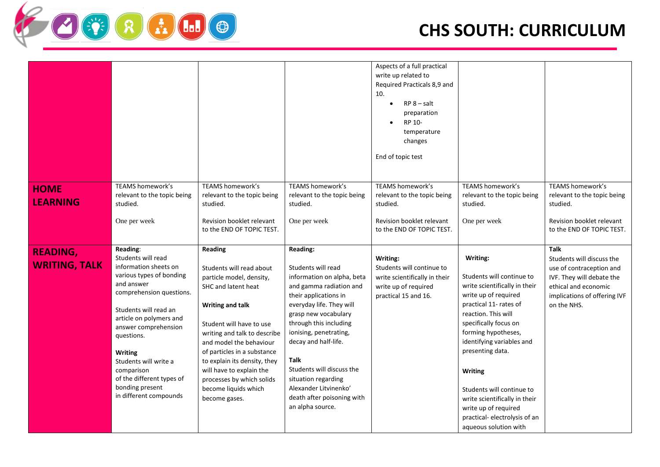

|                                         |                                                                                                                                                                                                                                                                                                                                                            |                                                                                                                                                                                                                                                                                                                                                                                  |                                                                                                                                                                                                                                                                                                                                                                                         | Aspects of a full practical<br>write up related to<br>Required Practicals 8,9 and<br>10.<br>$RP 8 - salt$<br>preparation<br>RP 10-<br>temperature<br>changes<br>End of topic test |                                                                                                                                                                                                                                                                                                                                                                                                                   |                                                                                                                                                                          |
|-----------------------------------------|------------------------------------------------------------------------------------------------------------------------------------------------------------------------------------------------------------------------------------------------------------------------------------------------------------------------------------------------------------|----------------------------------------------------------------------------------------------------------------------------------------------------------------------------------------------------------------------------------------------------------------------------------------------------------------------------------------------------------------------------------|-----------------------------------------------------------------------------------------------------------------------------------------------------------------------------------------------------------------------------------------------------------------------------------------------------------------------------------------------------------------------------------------|-----------------------------------------------------------------------------------------------------------------------------------------------------------------------------------|-------------------------------------------------------------------------------------------------------------------------------------------------------------------------------------------------------------------------------------------------------------------------------------------------------------------------------------------------------------------------------------------------------------------|--------------------------------------------------------------------------------------------------------------------------------------------------------------------------|
| <b>HOME</b>                             | TEAMS homework's                                                                                                                                                                                                                                                                                                                                           | <b>TEAMS homework's</b>                                                                                                                                                                                                                                                                                                                                                          | TEAMS homework's                                                                                                                                                                                                                                                                                                                                                                        | TEAMS homework's                                                                                                                                                                  | TEAMS homework's                                                                                                                                                                                                                                                                                                                                                                                                  | TEAMS homework's                                                                                                                                                         |
| <b>LEARNING</b>                         | relevant to the topic being<br>studied.                                                                                                                                                                                                                                                                                                                    | relevant to the topic being<br>studied.                                                                                                                                                                                                                                                                                                                                          | relevant to the topic being<br>studied.                                                                                                                                                                                                                                                                                                                                                 | relevant to the topic being<br>studied.                                                                                                                                           | relevant to the topic being<br>studied.                                                                                                                                                                                                                                                                                                                                                                           | relevant to the topic being<br>studied.                                                                                                                                  |
|                                         | One per week                                                                                                                                                                                                                                                                                                                                               | Revision booklet relevant<br>to the END OF TOPIC TEST.                                                                                                                                                                                                                                                                                                                           | One per week                                                                                                                                                                                                                                                                                                                                                                            | Revision booklet relevant<br>to the END OF TOPIC TEST.                                                                                                                            | One per week                                                                                                                                                                                                                                                                                                                                                                                                      | Revision booklet relevant<br>to the END OF TOPIC TEST.                                                                                                                   |
| <b>READING,</b><br><b>WRITING, TALK</b> | Reading:<br>Students will read<br>information sheets on<br>various types of bonding<br>and answer<br>comprehension questions.<br>Students will read an<br>article on polymers and<br>answer comprehension<br>questions.<br><b>Writing</b><br>Students will write a<br>comparison<br>of the different types of<br>bonding present<br>in different compounds | <b>Reading</b><br>Students will read about<br>particle model, density,<br>SHC and latent heat<br><b>Writing and talk</b><br>Student will have to use<br>writing and talk to describe<br>and model the behaviour<br>of particles in a substance<br>to explain its density, they<br>will have to explain the<br>processes by which solids<br>become liquids which<br>become gases. | Reading:<br>Students will read<br>information on alpha, beta<br>and gamma radiation and<br>their applications in<br>everyday life. They will<br>grasp new vocabulary<br>through this including<br>ionising, penetrating,<br>decay and half-life.<br>Talk<br>Students will discuss the<br>situation regarding<br>Alexander Litvinenko'<br>death after poisoning with<br>an alpha source. | Writing:<br>Students will continue to<br>write scientifically in their<br>write up of required<br>practical 15 and 16.                                                            | Writing:<br>Students will continue to<br>write scientifically in their<br>write up of required<br>practical 11- rates of<br>reaction. This will<br>specifically focus on<br>forming hypotheses,<br>identifying variables and<br>presenting data.<br><b>Writing</b><br>Students will continue to<br>write scientifically in their<br>write up of required<br>practical-electrolysis of an<br>aqueous solution with | <b>Talk</b><br>Students will discuss the<br>use of contraception and<br>IVF. They will debate the<br>ethical and economic<br>implications of offering IVF<br>on the NHS. |

SER HUDO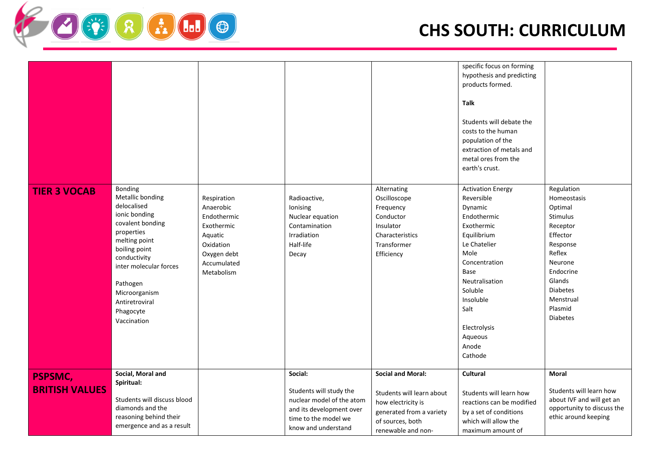

|                                         |                                                                                                                                                                                                                                                      |                                                                                                                           |                                                                                                                                            |                                                                                                                                                   | specific focus on forming<br>hypothesis and predicting<br>products formed.<br>Talk<br>Students will debate the<br>costs to the human<br>population of the<br>extraction of metals and<br>metal ores from the<br>earth's crust.                  |                                                                                                                                                                                                       |
|-----------------------------------------|------------------------------------------------------------------------------------------------------------------------------------------------------------------------------------------------------------------------------------------------------|---------------------------------------------------------------------------------------------------------------------------|--------------------------------------------------------------------------------------------------------------------------------------------|---------------------------------------------------------------------------------------------------------------------------------------------------|-------------------------------------------------------------------------------------------------------------------------------------------------------------------------------------------------------------------------------------------------|-------------------------------------------------------------------------------------------------------------------------------------------------------------------------------------------------------|
| <b>TIER 3 VOCAB</b>                     | Bonding<br>Metallic bonding<br>delocalised<br>ionic bonding<br>covalent bonding<br>properties<br>melting point<br>boiling point<br>conductivity<br>inter molecular forces<br>Pathogen<br>Microorganism<br>Antiretroviral<br>Phagocyte<br>Vaccination | Respiration<br>Anaerobic<br>Endothermic<br>Exothermic<br>Aquatic<br>Oxidation<br>Oxygen debt<br>Accumulated<br>Metabolism | Radioactive,<br>Ionising<br>Nuclear equation<br>Contamination<br>Irradiation<br>Half-life<br>Decay                                         | Alternating<br>Oscilloscope<br>Frequency<br>Conductor<br>Insulator<br>Characteristics<br>Transformer<br>Efficiency                                | <b>Activation Energy</b><br>Reversible<br>Dynamic<br>Endothermic<br>Exothermic<br>Equilibrium<br>Le Chatelier<br>Mole<br>Concentration<br>Base<br>Neutralisation<br>Soluble<br>Insoluble<br>Salt<br>Electrolysis<br>Aqueous<br>Anode<br>Cathode | Regulation<br>Homeostasis<br>Optimal<br><b>Stimulus</b><br>Receptor<br>Effector<br>Response<br>Reflex<br>Neurone<br>Endocrine<br>Glands<br><b>Diabetes</b><br>Menstrual<br>Plasmid<br><b>Diabetes</b> |
| <b>PSPSMC,</b><br><b>BRITISH VALUES</b> | Social, Moral and<br>Spiritual:<br>Students will discuss blood<br>diamonds and the<br>reasoning behind their<br>emergence and as a result                                                                                                            |                                                                                                                           | Social:<br>Students will study the<br>nuclear model of the atom<br>and its development over<br>time to the model we<br>know and understand | <b>Social and Moral:</b><br>Students will learn about<br>how electricity is<br>generated from a variety<br>of sources, both<br>renewable and non- | Cultural<br>Students will learn how<br>reactions can be modified<br>by a set of conditions<br>which will allow the<br>maximum amount of                                                                                                         | Moral<br>Students will learn how<br>about IVF and will get an<br>opportunity to discuss the<br>ethic around keeping                                                                                   |

SER HUDO